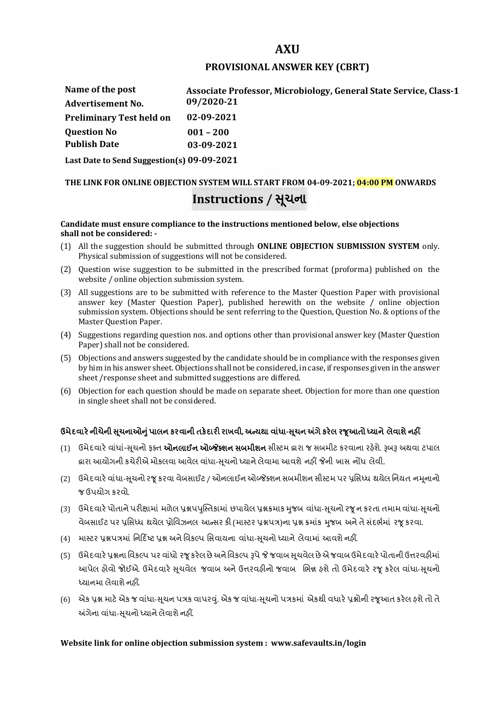# **AXU**

### **PROVISIONAL ANSWER KEY (CBRT)**

| Name of the post                                        | Associate Professor, Microbiology, General State Service, Class-1 |
|---------------------------------------------------------|-------------------------------------------------------------------|
| <b>Advertisement No.</b>                                | 09/2020-21                                                        |
| <b>Preliminary Test held on</b>                         | 02-09-2021                                                        |
| <b>Question No</b>                                      | $001 - 200$                                                       |
| <b>Publish Date</b>                                     | 03-09-2021                                                        |
| $\sim$ $\sim$ $\sim$ $\sim$ $\sim$ $\sim$ $\sim$ $\sim$ | $\cdots$ $\cdots$ $\alpha$ $\alpha$ $\alpha$ $\alpha$             |

**Last Date to Send Suggestion(s) 09-09-2021**

# **THE LINK FOR ONLINE OBJECTION SYSTEM WILL START FROM 04-09-2021; 04:00 PM ONWARDS Instructions / Ʌચના ૂ**

#### **Candidate must ensure compliance to the instructions mentioned below, else objections shall not be considered: -**

- (1) All the suggestion should be submitted through **ONLINE OBJECTION SUBMISSION SYSTEM** only. Physical submission of suggestions will not be considered.
- (2) Question wise suggestion to be submitted in the prescribed format (proforma) published on the website / online objection submission system.
- (3) All suggestions are to be submitted with reference to the Master Question Paper with provisional answer key (Master Question Paper), published herewith on the website / online objection submission system. Objections should be sent referring to the Question, Question No. & options of the Master Question Paper.
- (4) Suggestions regarding question nos. and options other than provisional answer key (Master Question Paper) shall not be considered.
- (5) Objections and answers suggested by the candidate should be in compliance with the responses given by him in his answer sheet. Objections shall not be considered, in case, if responses given in the answer sheet /response sheet and submitted suggestions are differed.
- (6) Objection for each question should be made on separate sheet. Objection for more than one question in single sheet shall not be considered.

# **ઉમેદવાર°નીચેની Ʌ ૂચનાઓȵુંપાલન કરવાની તક°દાર રાખવી, અƛયથા વા ંધા-Ʌ ૂચન Ӕગેકર°લ રȩૂઆતો ƚયાને લેવાશેનહӄ**

- (1) ઉમેદવારે વાંધાં-સુચનો ફક્ત **ઓનલાઈન ઓબ્જેક્શન સબમીશન** સીસ્ટમ હ્રારા જ સબમીટ કરવાના રહેશે. રૂબરૂ અથવા ટપાલ હ્રારા આયોગની કચેરીએ મોકલવા આવેલ વાંધા-સૂચનો ધ્યાને લેવામા આવશે નહીં જેની ખાસ નોંધ લેવી.
- (2) ઉમેદવારે વાંધા-સચનો રજ કરવા વેબસાઈટ / ઓનલાઈન ઓબ્જેક્શન સબમીશન સીસ્ટમ પર પ્રસિધ્ધ થયેલ નિયત નમનાનો જ ઉપયોગ કરવો.
- (3) ઉમેદવારે પોતાને પરીક્ષામાં મળેલ પ્રશ્નપપુસ્તિકામાં છપાયેલ પ્રશ્નક્રમાક મુજબ વાંધા-સૂચનો રજૂન કરતા તમામ વાંધા-સૂચનો વેબસાઈટ પર પ્રસિધ્ધ થયેલ પ્રોવિઝનલ આન્સર કી (માસ્ટર પ્રશ્નપત્ર)ના પ્રશ્ન ક્રમાંક મજબ અને તે સંદર્ભમાં ૨જ કરવા.
- (4) માસ્ટર પ્રશ્નપત્રમાં નિર્દિષ્ટ પ્રશ્ન અને વિકલ્પ સિવાયના વાંધા-સચનો ધ્યાને લેવામાં આવશે નહીં.
- (5) ઉમેદવારે પ્રશ્નના વિકલ્પ પર વાંધો રજૂ કરેલ છે અને વિકલ્પ રૂપે જે જવાબ સુચવેલ છે એ જવાબ ઉમેદવારે પોતાની ઉત્તરવહીમાં આપેલ હોવો જોઈએ. ઉમેદવારે સૂચવેલ જવાબ અને ઉત્તરવહીનો જવાબ ભિન્ન હશે તો ઉમેદવારે રજૂ કરેલ વાંધા-સૂચનો ધ્યાનમા લેવાશે નહીં.
- (6) એક પ્રશ્ન માટે એક જ વાંધા-સૂચન પત્રક વાપરવું. એક જ વાંધા-સૂચનો પત્રકમાં એકથી વધારે પ્રશ્નોની રજૂઆત કરેલ હશે તો તે અંગેના વાંધા-સુચનો ધ્યાને લેવાશે નહીં.

# **Website link for online objection submission system : www.safevaults.in/login**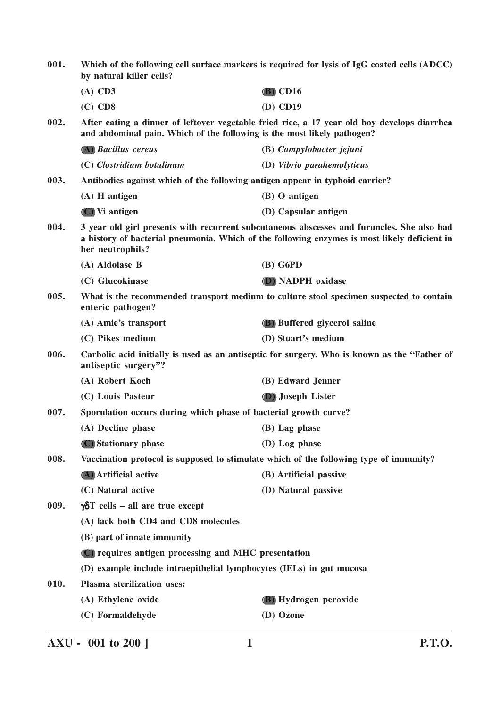| 001. | Which of the following cell surface markers is required for lysis of IgG coated cells (ADCC)<br>by natural killer cells? |                                                                                                                                                                                            |
|------|--------------------------------------------------------------------------------------------------------------------------|--------------------------------------------------------------------------------------------------------------------------------------------------------------------------------------------|
|      | $(A)$ CD3                                                                                                                | $(B)$ CD16                                                                                                                                                                                 |
|      | $(C)$ CD8                                                                                                                | $(D)$ CD19                                                                                                                                                                                 |
| 002. | and abdominal pain. Which of the following is the most likely pathogen?                                                  | After eating a dinner of leftover vegetable fried rice, a 17 year old boy develops diarrhea                                                                                                |
|      | (A) Bacillus cereus                                                                                                      | (B) Campylobacter jejuni                                                                                                                                                                   |
|      | (C) Clostridium botulinum                                                                                                | (D) Vibrio parahemolyticus                                                                                                                                                                 |
| 003. | Antibodies against which of the following antigen appear in typhoid carrier?                                             |                                                                                                                                                                                            |
|      | $(A)$ H antigen                                                                                                          | (B) O antigen                                                                                                                                                                              |
|      | (C) Vi antigen                                                                                                           | (D) Capsular antigen                                                                                                                                                                       |
| 004. | her neutrophils?                                                                                                         | 3 year old girl presents with recurrent subcutaneous abscesses and furuncles. She also had<br>a history of bacterial pneumonia. Which of the following enzymes is most likely deficient in |
|      | (A) Aldolase B                                                                                                           | $(B)$ G6PD                                                                                                                                                                                 |
|      | (C) Glucokinase                                                                                                          | (D) NADPH oxidase                                                                                                                                                                          |
| 005. | enteric pathogen?                                                                                                        | What is the recommended transport medium to culture stool specimen suspected to contain                                                                                                    |
|      | (A) Amie's transport                                                                                                     | (B) Buffered glycerol saline                                                                                                                                                               |
|      | (C) Pikes medium                                                                                                         | (D) Stuart's medium                                                                                                                                                                        |
| 006. | antiseptic surgery"?                                                                                                     | Carbolic acid initially is used as an antiseptic for surgery. Who is known as the "Father of                                                                                               |
|      | (A) Robert Koch                                                                                                          | (B) Edward Jenner                                                                                                                                                                          |
|      | (C) Louis Pasteur                                                                                                        | (D) Joseph Lister                                                                                                                                                                          |
| 007. | Sporulation occurs during which phase of bacterial growth curve?                                                         |                                                                                                                                                                                            |
|      | (A) Decline phase                                                                                                        | $(B)$ Lag phase                                                                                                                                                                            |
|      | (C) Stationary phase                                                                                                     | (D) Log phase                                                                                                                                                                              |
| 008. |                                                                                                                          | Vaccination protocol is supposed to stimulate which of the following type of immunity?                                                                                                     |
|      | (A) Artificial active                                                                                                    | (B) Artificial passive                                                                                                                                                                     |
|      | (C) Natural active                                                                                                       | (D) Natural passive                                                                                                                                                                        |
| 009. | $\gamma \delta T$ cells – all are true except                                                                            |                                                                                                                                                                                            |
|      | (A) lack both CD4 and CD8 molecules                                                                                      |                                                                                                                                                                                            |
|      | (B) part of innate immunity                                                                                              |                                                                                                                                                                                            |
|      | (C) requires antigen processing and MHC presentation                                                                     |                                                                                                                                                                                            |
|      | (D) example include intraepithelial lymphocytes (IELs) in gut mucosa                                                     |                                                                                                                                                                                            |
| 010. | Plasma sterilization uses:                                                                                               |                                                                                                                                                                                            |
|      | (A) Ethylene oxide                                                                                                       | (B) Hydrogen peroxide                                                                                                                                                                      |
|      | (C) Formaldehyde                                                                                                         | (D) Ozone                                                                                                                                                                                  |

**AXU - 001 to 200 ] 1 P.T.O.**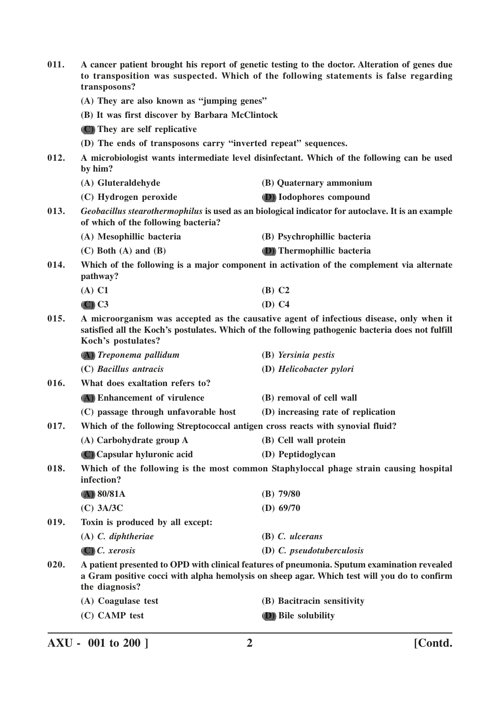| 011. | A cancer patient brought his report of genetic testing to the doctor. Alteration of genes due<br>to transposition was suspected. Which of the following statements is false regarding<br>transposons? |                                                                                                                                                                                             |
|------|-------------------------------------------------------------------------------------------------------------------------------------------------------------------------------------------------------|---------------------------------------------------------------------------------------------------------------------------------------------------------------------------------------------|
|      | (A) They are also known as "jumping genes"                                                                                                                                                            |                                                                                                                                                                                             |
|      | (B) It was first discover by Barbara McClintock                                                                                                                                                       |                                                                                                                                                                                             |
|      | (C) They are self replicative                                                                                                                                                                         |                                                                                                                                                                                             |
|      | (D) The ends of transposons carry "inverted repeat" sequences.                                                                                                                                        |                                                                                                                                                                                             |
| 012. | A microbiologist wants intermediate level disinfectant. Which of the following can be used<br>by him?                                                                                                 |                                                                                                                                                                                             |
|      | (A) Gluteraldehyde                                                                                                                                                                                    | (B) Quaternary ammonium                                                                                                                                                                     |
|      | (C) Hydrogen peroxide                                                                                                                                                                                 | (D) Iodophores compound                                                                                                                                                                     |
| 013. | of which of the following bacteria?                                                                                                                                                                   | Geobacillus stearothermophilus is used as an biological indicator for autoclave. It is an example                                                                                           |
|      | (A) Mesophillic bacteria                                                                                                                                                                              | (B) Psychrophillic bacteria                                                                                                                                                                 |
|      | $(C)$ Both $(A)$ and $(B)$                                                                                                                                                                            | (D) Thermophillic bacteria                                                                                                                                                                  |
| 014. | pathway?                                                                                                                                                                                              | Which of the following is a major component in activation of the complement via alternate                                                                                                   |
|      | $(A)$ C1                                                                                                                                                                                              | $(B)$ C <sub>2</sub>                                                                                                                                                                        |
|      | $\left( \text{C} \right)$ C3                                                                                                                                                                          | $(D)$ C4                                                                                                                                                                                    |
| 015. | Koch's postulates?                                                                                                                                                                                    | A microorganism was accepted as the causative agent of infectious disease, only when it<br>satisfied all the Koch's postulates. Which of the following pathogenic bacteria does not fulfill |
|      | (A) Treponema pallidum                                                                                                                                                                                | (B) Yersinia pestis                                                                                                                                                                         |
|      | (C) Bacillus antracis                                                                                                                                                                                 | (D) Helicobacter pylori                                                                                                                                                                     |
| 016. | What does exaltation refers to?                                                                                                                                                                       |                                                                                                                                                                                             |
|      | (A) Enhancement of virulence                                                                                                                                                                          | (B) removal of cell wall                                                                                                                                                                    |
|      | (C) passage through unfavorable host                                                                                                                                                                  | (D) increasing rate of replication                                                                                                                                                          |
| 017. | Which of the following Streptococcal antigen cross reacts with synovial fluid?                                                                                                                        |                                                                                                                                                                                             |
|      | (A) Carbohydrate group A                                                                                                                                                                              | (B) Cell wall protein                                                                                                                                                                       |
|      | (C) Capsular hyluronic acid                                                                                                                                                                           | (D) Peptidoglycan                                                                                                                                                                           |
| 018. | infection?                                                                                                                                                                                            | Which of the following is the most common Staphyloccal phage strain causing hospital                                                                                                        |
|      | (A) 80/81A                                                                                                                                                                                            | $(B)$ 79/80                                                                                                                                                                                 |
|      | $(C)$ 3A/3C                                                                                                                                                                                           | (D) $69/70$                                                                                                                                                                                 |
| 019. | Toxin is produced by all except:                                                                                                                                                                      |                                                                                                                                                                                             |
|      | $(A)$ C. diphtheriae                                                                                                                                                                                  | $(B)$ C. ulcerans                                                                                                                                                                           |
|      | $(C)$ C. xerosis                                                                                                                                                                                      | (D) C. pseudotuberculosis                                                                                                                                                                   |
| 020. | the diagnosis?                                                                                                                                                                                        | A patient presented to OPD with clinical features of pneumonia. Sputum examination revealed<br>a Gram positive cocci with alpha hemolysis on sheep agar. Which test will you do to confirm  |
|      | (A) Coagulase test                                                                                                                                                                                    | (B) Bacitracin sensitivity                                                                                                                                                                  |
|      | (C) CAMP test                                                                                                                                                                                         | (D) Bile solubility                                                                                                                                                                         |
|      |                                                                                                                                                                                                       |                                                                                                                                                                                             |

**AXU - 001 to 200 ] 2 [Contd.**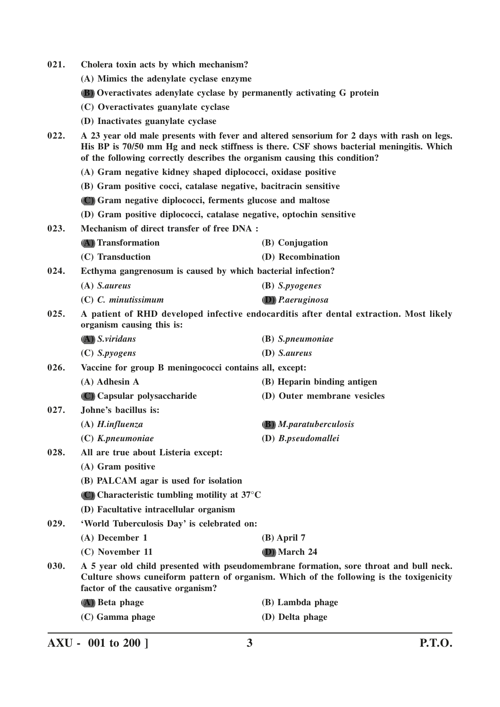| 021. | Cholera toxin acts by which mechanism?                                                                                                                                                                                                                              |                                                                                        |  |
|------|---------------------------------------------------------------------------------------------------------------------------------------------------------------------------------------------------------------------------------------------------------------------|----------------------------------------------------------------------------------------|--|
|      | (A) Mimics the adenylate cyclase enzyme                                                                                                                                                                                                                             |                                                                                        |  |
|      | <b>(B)</b> Overactivates adenylate cyclase by permanently activating G protein                                                                                                                                                                                      |                                                                                        |  |
|      | (C) Overactivates guanylate cyclase                                                                                                                                                                                                                                 |                                                                                        |  |
|      | (D) Inactivates guanylate cyclase                                                                                                                                                                                                                                   |                                                                                        |  |
| 022. | A 23 year old male presents with fever and altered sensorium for 2 days with rash on legs.<br>His BP is 70/50 mm Hg and neck stiffness is there. CSF shows bacterial meningitis. Which<br>of the following correctly describes the organism causing this condition? |                                                                                        |  |
|      | (A) Gram negative kidney shaped diplococci, oxidase positive                                                                                                                                                                                                        |                                                                                        |  |
|      | (B) Gram positive cocci, catalase negative, bacitracin sensitive                                                                                                                                                                                                    |                                                                                        |  |
|      | (C) Gram negative diplococci, ferments glucose and maltose                                                                                                                                                                                                          |                                                                                        |  |
|      | (D) Gram positive diplococci, catalase negative, optochin sensitive                                                                                                                                                                                                 |                                                                                        |  |
| 023. | Mechanism of direct transfer of free DNA :                                                                                                                                                                                                                          |                                                                                        |  |
|      | (A) Transformation                                                                                                                                                                                                                                                  | (B) Conjugation                                                                        |  |
|      | (C) Transduction                                                                                                                                                                                                                                                    | (D) Recombination                                                                      |  |
| 024. | Ecthyma gangrenosum is caused by which bacterial infection?                                                                                                                                                                                                         |                                                                                        |  |
|      | $(A)$ <i>S.aureus</i>                                                                                                                                                                                                                                               | (B) S.pyogenes                                                                         |  |
|      | $(C)$ C. minutissimum                                                                                                                                                                                                                                               | <b>D</b> ) P.aeruginosa                                                                |  |
| 025. | organism causing this is:                                                                                                                                                                                                                                           | A patient of RHD developed infective endocarditis after dental extraction. Most likely |  |
|      | $(A)$ S. viridans                                                                                                                                                                                                                                                   | (B) S.pneumoniae                                                                       |  |
|      | $(C)$ <i>S.pyogens</i>                                                                                                                                                                                                                                              | (D) S.aureus                                                                           |  |
| 026. | Vaccine for group B meningococci contains all, except:                                                                                                                                                                                                              |                                                                                        |  |
|      | (A) Adhesin A                                                                                                                                                                                                                                                       | (B) Heparin binding antigen                                                            |  |
|      | (C) Capsular polysaccharide                                                                                                                                                                                                                                         | (D) Outer membrane vesicles                                                            |  |
| 027. | Johne's bacillus is:                                                                                                                                                                                                                                                |                                                                                        |  |
|      | $(A)$ H.influenza                                                                                                                                                                                                                                                   | <b>(B)</b> <i>M.paratuberculosis</i>                                                   |  |
|      | (C) K.pneumoniae                                                                                                                                                                                                                                                    | (D) B.pseudomallei                                                                     |  |
| 028. | All are true about Listeria except:                                                                                                                                                                                                                                 |                                                                                        |  |
|      | (A) Gram positive                                                                                                                                                                                                                                                   |                                                                                        |  |
|      | (B) PALCAM agar is used for isolation                                                                                                                                                                                                                               |                                                                                        |  |
|      | (C) Characteristic tumbling motility at $37^{\circ}$ C                                                                                                                                                                                                              |                                                                                        |  |
|      | (D) Facultative intracellular organism                                                                                                                                                                                                                              |                                                                                        |  |
| 029. | 'World Tuberculosis Day' is celebrated on:                                                                                                                                                                                                                          |                                                                                        |  |
|      | (A) December 1                                                                                                                                                                                                                                                      | $(B)$ April 7                                                                          |  |
|      | (C) November 11                                                                                                                                                                                                                                                     | (D) March 24                                                                           |  |
| 030. | A 5 year old child presented with pseudomembrane formation, sore throat and bull neck.<br>Culture shows cuneiform pattern of organism. Which of the following is the toxigenicity<br>factor of the causative organism?                                              |                                                                                        |  |
|      | (A) Beta phage                                                                                                                                                                                                                                                      | (B) Lambda phage                                                                       |  |
|      | (C) Gamma phage                                                                                                                                                                                                                                                     | (D) Delta phage                                                                        |  |

**AXU - 001 to 200 ] 3 P.T.O.**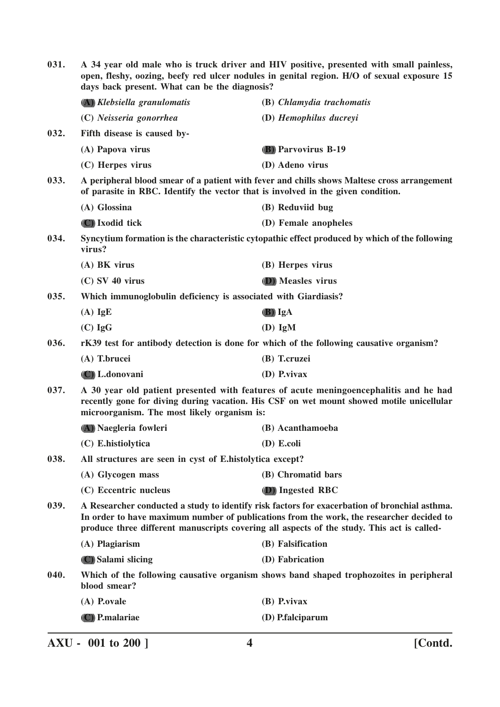| 031. | A 34 year old male who is truck driver and HIV positive, presented with small painless,<br>open, fleshy, oozing, beefy red ulcer nodules in genital region. H/O of sexual exposure 15<br>days back present. What can be the diagnosis?                                                  |                                                                                                |
|------|-----------------------------------------------------------------------------------------------------------------------------------------------------------------------------------------------------------------------------------------------------------------------------------------|------------------------------------------------------------------------------------------------|
|      | (A) Klebsiella granulomatis                                                                                                                                                                                                                                                             | (B) Chlamydia trachomatis                                                                      |
|      | (C) Neisseria gonorrhea                                                                                                                                                                                                                                                                 | (D) Hemophilus ducreyi                                                                         |
| 032. | Fifth disease is caused by-                                                                                                                                                                                                                                                             |                                                                                                |
|      | (A) Papova virus                                                                                                                                                                                                                                                                        | <b>(B)</b> Parvovirus B-19                                                                     |
|      | (C) Herpes virus                                                                                                                                                                                                                                                                        | (D) Adeno virus                                                                                |
| 033. | of parasite in RBC. Identify the vector that is involved in the given condition.                                                                                                                                                                                                        | A peripheral blood smear of a patient with fever and chills shows Maltese cross arrangement    |
|      | (A) Glossina                                                                                                                                                                                                                                                                            | (B) Reduviid bug                                                                               |
|      | (C) Ixodid tick                                                                                                                                                                                                                                                                         | (D) Female anopheles                                                                           |
| 034. | virus?                                                                                                                                                                                                                                                                                  | Syncytium formation is the characteristic cytopathic effect produced by which of the following |
|      | $(A)$ BK virus                                                                                                                                                                                                                                                                          | (B) Herpes virus                                                                               |
|      | $(C)$ SV 40 virus                                                                                                                                                                                                                                                                       | (D) Measles virus                                                                              |
| 035. | Which immunoglobulin deficiency is associated with Giardiasis?                                                                                                                                                                                                                          |                                                                                                |
|      | $(A)$ IgE                                                                                                                                                                                                                                                                               | (B) IgA                                                                                        |
|      | $(C)$ IgG                                                                                                                                                                                                                                                                               | $(D)$ IgM                                                                                      |
| 036. |                                                                                                                                                                                                                                                                                         | rK39 test for antibody detection is done for which of the following causative organism?        |
|      | (A) T.brucei                                                                                                                                                                                                                                                                            | (B) T.cruzei                                                                                   |
|      | (C) L.donovani                                                                                                                                                                                                                                                                          | (D) P.vivax                                                                                    |
| 037. | A 30 year old patient presented with features of acute meningoencephalitis and he had<br>recently gone for diving during vacation. His CSF on wet mount showed motile unicellular<br>microorganism. The most likely organism is:                                                        |                                                                                                |
|      | (A) Naegleria fowleri                                                                                                                                                                                                                                                                   | (B) Acanthamoeba                                                                               |
|      | (C) E.histiolytica                                                                                                                                                                                                                                                                      | (D) E.coli                                                                                     |
| 038. | All structures are seen in cyst of E.histolytica except?                                                                                                                                                                                                                                |                                                                                                |
|      | (A) Glycogen mass                                                                                                                                                                                                                                                                       | (B) Chromatid bars                                                                             |
|      | (C) Eccentric nucleus                                                                                                                                                                                                                                                                   | (D) Ingested RBC                                                                               |
| 039. | A Researcher conducted a study to identify risk factors for exacerbation of bronchial asthma.<br>In order to have maximum number of publications from the work, the researcher decided to<br>produce three different manuscripts covering all aspects of the study. This act is called- |                                                                                                |
|      | (A) Plagiarism                                                                                                                                                                                                                                                                          | (B) Falsification                                                                              |
|      | (C) Salami slicing                                                                                                                                                                                                                                                                      | (D) Fabrication                                                                                |
| 040. | blood smear?                                                                                                                                                                                                                                                                            | Which of the following causative organism shows band shaped trophozoites in peripheral         |
|      | (A) P.ovale                                                                                                                                                                                                                                                                             | $(B)$ P.vivax                                                                                  |
|      | (C) P.malariae                                                                                                                                                                                                                                                                          | (D) P.falciparum                                                                               |
|      |                                                                                                                                                                                                                                                                                         |                                                                                                |

**AXU - 001 to 200 ] 4 [Contd.**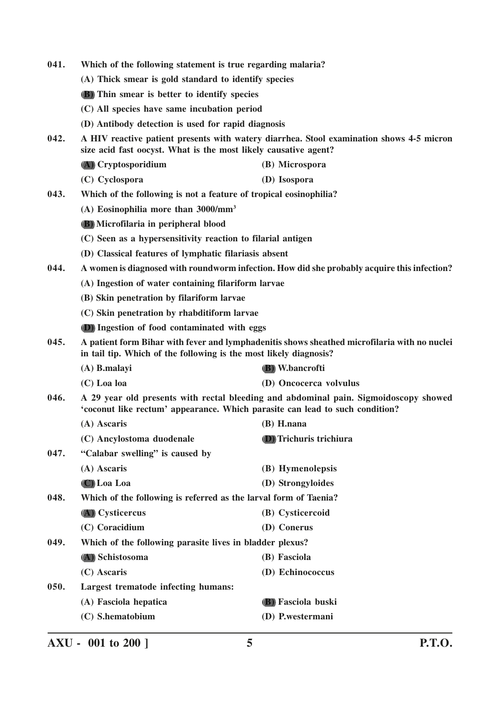| 041. | Which of the following statement is true regarding malaria?                  |                                                                                              |  |
|------|------------------------------------------------------------------------------|----------------------------------------------------------------------------------------------|--|
|      | (A) Thick smear is gold standard to identify species                         |                                                                                              |  |
|      | <b>(B)</b> Thin smear is better to identify species                          |                                                                                              |  |
|      | (C) All species have same incubation period                                  |                                                                                              |  |
|      | (D) Antibody detection is used for rapid diagnosis                           |                                                                                              |  |
| 042. | size acid fast oocyst. What is the most likely causative agent?              | A HIV reactive patient presents with watery diarrhea. Stool examination shows 4-5 micron     |  |
|      | (A) Cryptosporidium                                                          | (B) Microspora                                                                               |  |
|      | (C) Cyclospora                                                               | (D) Isospora                                                                                 |  |
| 043. | Which of the following is not a feature of tropical eosinophilia?            |                                                                                              |  |
|      | (A) Eosinophilia more than $3000/\text{mm}^3$                                |                                                                                              |  |
|      | (B) Microfilaria in peripheral blood                                         |                                                                                              |  |
|      | (C) Seen as a hypersensitivity reaction to filarial antigen                  |                                                                                              |  |
|      | (D) Classical features of lymphatic filariasis absent                        |                                                                                              |  |
| 044. |                                                                              | A women is diagnosed with roundworm infection. How did she probably acquire this infection?  |  |
|      | (A) Ingestion of water containing filariform larvae                          |                                                                                              |  |
|      | (B) Skin penetration by filariform larvae                                    |                                                                                              |  |
|      | (C) Skin penetration by rhabditiform larvae                                  |                                                                                              |  |
|      | (D) Ingestion of food contaminated with eggs                                 |                                                                                              |  |
| 045. | in tail tip. Which of the following is the most likely diagnosis?            | A patient form Bihar with fever and lymphadenitis shows sheathed microfilaria with no nuclei |  |
|      | $(A)$ B.malayi                                                               | (B) W.bancrofti                                                                              |  |
|      | $(C)$ Loa loa                                                                | (D) Oncocerca volvulus                                                                       |  |
| 046. | 'coconut like rectum' appearance. Which parasite can lead to such condition? | A 29 year old presents with rectal bleeding and abdominal pain. Sigmoidoscopy showed         |  |
|      | (A) Ascaris                                                                  | $(B)$ H.nana                                                                                 |  |
|      | (C) Ancylostoma duodenale                                                    | (D) Trichuris trichiura                                                                      |  |
| 047. | "Calabar swelling" is caused by                                              |                                                                                              |  |
|      | (A) Ascaris                                                                  | (B) Hymenolepsis                                                                             |  |
|      | (C) Loa Loa                                                                  | (D) Strongyloides                                                                            |  |
| 048. | Which of the following is referred as the larval form of Taenia?             |                                                                                              |  |
|      | (A) Cysticercus                                                              | (B) Cysticercoid                                                                             |  |
|      | (C) Coracidium                                                               | (D) Conerus                                                                                  |  |
| 049. | Which of the following parasite lives in bladder plexus?                     |                                                                                              |  |
|      | (A) Schistosoma                                                              | (B) Fasciola                                                                                 |  |
|      | (C) Ascaris                                                                  | (D) Echinococcus                                                                             |  |
| 050. | Largest trematode infecting humans:                                          |                                                                                              |  |
|      | (A) Fasciola hepatica                                                        | (B) Fasciola buski                                                                           |  |
|      | (C) S.hematobium                                                             | (D) P.westermani                                                                             |  |

**AXU - 001 to 200 ] 5 P.T.O.**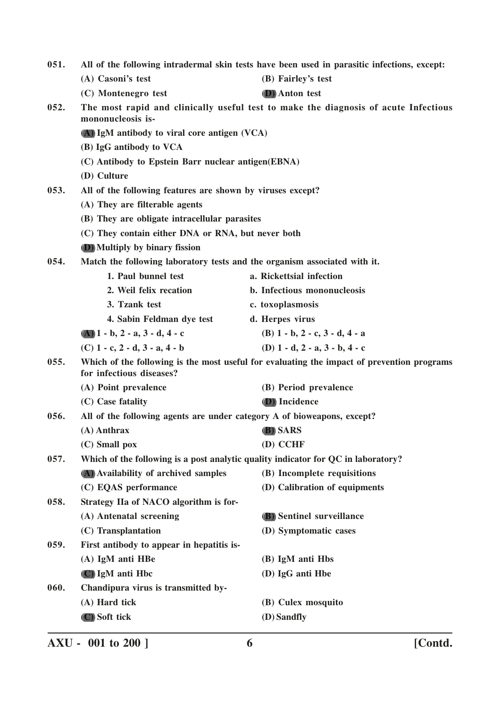| 051.<br>All of the following intradermal skin tests have been used in parasitic infections, except: |                                                                           |                                                                                            |
|-----------------------------------------------------------------------------------------------------|---------------------------------------------------------------------------|--------------------------------------------------------------------------------------------|
|                                                                                                     | (A) Casoni's test                                                         | (B) Fairley's test                                                                         |
|                                                                                                     | (C) Montenegro test                                                       | (D) Anton test                                                                             |
| 052.                                                                                                | mononucleosis is-                                                         | The most rapid and clinically useful test to make the diagnosis of acute Infectious        |
|                                                                                                     | (A) IgM antibody to viral core antigen (VCA)                              |                                                                                            |
|                                                                                                     | (B) IgG antibody to VCA                                                   |                                                                                            |
|                                                                                                     | (C) Antibody to Epstein Barr nuclear antigen(EBNA)                        |                                                                                            |
|                                                                                                     | (D) Culture                                                               |                                                                                            |
| 053.                                                                                                | All of the following features are shown by viruses except?                |                                                                                            |
|                                                                                                     | (A) They are filterable agents                                            |                                                                                            |
|                                                                                                     | (B) They are obligate intracellular parasites                             |                                                                                            |
|                                                                                                     | (C) They contain either DNA or RNA, but never both                        |                                                                                            |
|                                                                                                     | (D) Multiply by binary fission                                            |                                                                                            |
| 054.                                                                                                | Match the following laboratory tests and the organism associated with it. |                                                                                            |
|                                                                                                     | 1. Paul bunnel test                                                       | a. Rickettsial infection                                                                   |
|                                                                                                     | 2. Weil felix recation                                                    | b. Infectious mononucleosis                                                                |
|                                                                                                     | 3. Tzank test                                                             | c. toxoplasmosis                                                                           |
|                                                                                                     | 4. Sabin Feldman dye test                                                 | d. Herpes virus                                                                            |
|                                                                                                     | $(A)$ 1 - b, 2 - a, 3 - d, 4 - c                                          | $(B)$ 1 - b, 2 - c, 3 - d, 4 - a                                                           |
|                                                                                                     | $(C)$ 1 - c, 2 - d, 3 - a, 4 - b                                          | (D) $1 - d$ , $2 - a$ , $3 - b$ , $4 - c$                                                  |
| 055.                                                                                                | for infectious diseases?                                                  | Which of the following is the most useful for evaluating the impact of prevention programs |
|                                                                                                     | (A) Point prevalence                                                      | (B) Period prevalence                                                                      |
|                                                                                                     | (C) Case fatality                                                         | (D) Incidence                                                                              |
| All of the following agents are under category A of bioweapons, except?<br>056.                     |                                                                           |                                                                                            |
|                                                                                                     | $(A)$ Anthrax                                                             | <b>B</b> ) SARS                                                                            |
|                                                                                                     | (C) Small pox                                                             | (D) CCHF                                                                                   |
| 057.                                                                                                |                                                                           | Which of the following is a post analytic quality indicator for QC in laboratory?          |
|                                                                                                     | (A) Availability of archived samples                                      | (B) Incomplete requisitions                                                                |
|                                                                                                     | (C) EQAS performance                                                      | (D) Calibration of equipments                                                              |
| 058.                                                                                                | Strategy IIa of NACO algorithm is for-                                    |                                                                                            |
|                                                                                                     | (A) Antenatal screening                                                   | (B) Sentinel surveillance                                                                  |
|                                                                                                     | (C) Transplantation                                                       | (D) Symptomatic cases                                                                      |
| 059.                                                                                                | First antibody to appear in hepatitis is-                                 |                                                                                            |
|                                                                                                     | (A) IgM anti HBe                                                          | (B) IgM anti Hbs                                                                           |
|                                                                                                     | (C) IgM anti Hbc                                                          | (D) IgG anti Hbe                                                                           |
| 060.                                                                                                | Chandipura virus is transmitted by-                                       |                                                                                            |
|                                                                                                     | (A) Hard tick                                                             | (B) Culex mosquito                                                                         |
|                                                                                                     | (C) Soft tick                                                             | (D) Sandfly                                                                                |
|                                                                                                     |                                                                           |                                                                                            |

**AXU - 001 to 200 ] 6 [Contd.**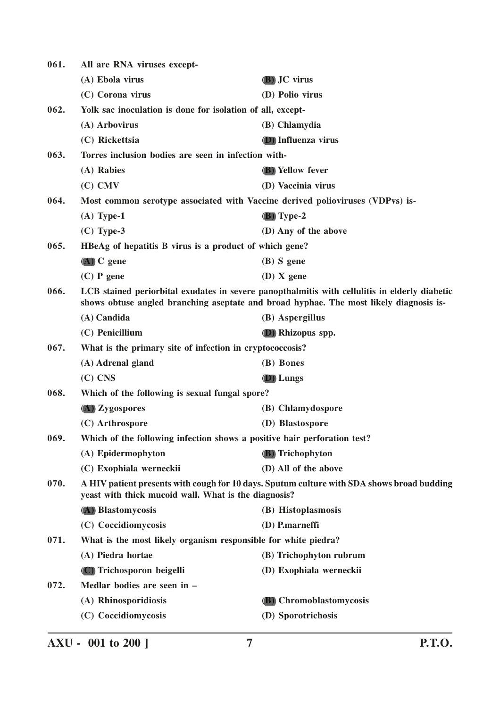| 061. | All are RNA viruses except-                                                   |                                                                                                                                                                                         |
|------|-------------------------------------------------------------------------------|-----------------------------------------------------------------------------------------------------------------------------------------------------------------------------------------|
|      | (A) Ebola virus                                                               | (B) JC virus                                                                                                                                                                            |
|      | (C) Corona virus                                                              | (D) Polio virus                                                                                                                                                                         |
| 062. | Yolk sac inoculation is done for isolation of all, except-                    |                                                                                                                                                                                         |
|      | (A) Arbovirus                                                                 | (B) Chlamydia                                                                                                                                                                           |
|      | (C) Rickettsia                                                                | <b>D</b> ) Influenza virus                                                                                                                                                              |
| 063. | Torres inclusion bodies are seen in infection with-                           |                                                                                                                                                                                         |
|      | (A) Rabies                                                                    | <b>(B)</b> Yellow fever                                                                                                                                                                 |
|      | $(C)$ CMV                                                                     | (D) Vaccinia virus                                                                                                                                                                      |
| 064. | Most common serotype associated with Vaccine derived polioviruses (VDPvs) is- |                                                                                                                                                                                         |
|      | $(A)$ Type-1                                                                  | $(B)$ Type-2                                                                                                                                                                            |
|      | $(C)$ Type-3                                                                  | (D) Any of the above                                                                                                                                                                    |
| 065. | HBeAg of hepatitis B virus is a product of which gene?                        |                                                                                                                                                                                         |
|      | $(A)$ C gene                                                                  | $(B)$ S gene                                                                                                                                                                            |
|      | $(C)$ P gene                                                                  | $(D)$ X gene                                                                                                                                                                            |
| 066. |                                                                               | LCB stained periorbital exudates in severe panopthalmitis with cellulitis in elderly diabetic<br>shows obtuse angled branching aseptate and broad hyphae. The most likely diagnosis is- |
|      | (A) Candida                                                                   | (B) Aspergillus                                                                                                                                                                         |
|      | (C) Penicillium                                                               | (D) Rhizopus spp.                                                                                                                                                                       |
| 067. | What is the primary site of infection in cryptococcosis?                      |                                                                                                                                                                                         |
|      | (A) Adrenal gland                                                             | (B) Bones                                                                                                                                                                               |
|      | $(C)$ CNS                                                                     | <b>D</b> ) Lungs                                                                                                                                                                        |
| 068. | Which of the following is sexual fungal spore?                                |                                                                                                                                                                                         |
|      | (A) Zygospores                                                                | (B) Chlamydospore                                                                                                                                                                       |
|      | (C) Arthrospore                                                               | (D) Blastospore                                                                                                                                                                         |
| 069. | Which of the following infection shows a positive hair perforation test?      |                                                                                                                                                                                         |
|      | (A) Epidermophyton                                                            | (B) Trichophyton                                                                                                                                                                        |
|      | (C) Exophiala werneckii                                                       | (D) All of the above                                                                                                                                                                    |
| 070. | yeast with thick mucoid wall. What is the diagnosis?                          | A HIV patient presents with cough for 10 days. Sputum culture with SDA shows broad budding                                                                                              |
|      | (A) Blastomycosis                                                             | (B) Histoplasmosis                                                                                                                                                                      |
|      | (C) Coccidiomycosis                                                           | (D) P.marneffi                                                                                                                                                                          |
| 071. | What is the most likely organism responsible for white piedra?                |                                                                                                                                                                                         |
|      | (A) Piedra hortae                                                             | (B) Trichophyton rubrum                                                                                                                                                                 |
|      | (C) Trichosporon beigelli                                                     | (D) Exophiala werneckii                                                                                                                                                                 |
| 072. | Medlar bodies are seen in -                                                   |                                                                                                                                                                                         |
|      | (A) Rhinosporidiosis                                                          | (B) Chromoblastomycosis                                                                                                                                                                 |
|      | (C) Coccidiomycosis                                                           | (D) Sporotrichosis                                                                                                                                                                      |
|      |                                                                               |                                                                                                                                                                                         |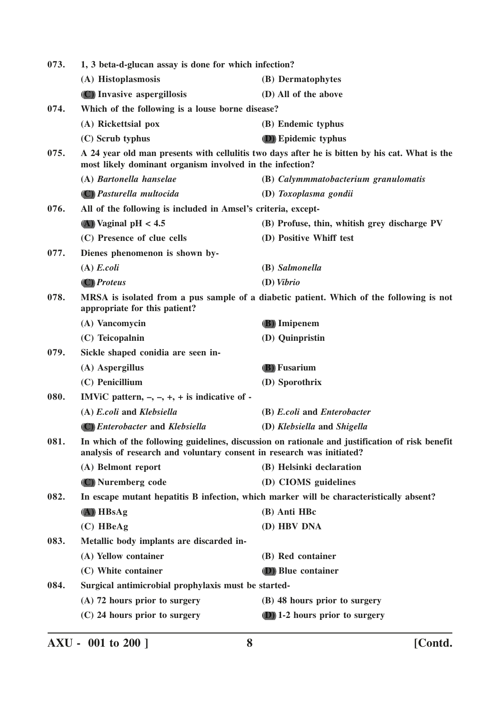| 073. | 1, 3 beta-d-glucan assay is done for which infection?                 |                                                                                                 |
|------|-----------------------------------------------------------------------|-------------------------------------------------------------------------------------------------|
|      | (A) Histoplasmosis                                                    | (B) Dermatophytes                                                                               |
|      | (C) Invasive aspergillosis                                            | (D) All of the above                                                                            |
| 074. | Which of the following is a louse borne disease?                      |                                                                                                 |
|      | (A) Rickettsial pox                                                   | (B) Endemic typhus                                                                              |
|      | (C) Scrub typhus                                                      | <b>(D)</b> Epidemic typhus                                                                      |
| 075. | most likely dominant organism involved in the infection?              | A 24 year old man presents with cellulitis two days after he is bitten by his cat. What is the  |
|      | (A) Bartonella hanselae                                               | (B) Calymmmatobacterium granulomatis                                                            |
|      | (C) Pasturella multocida                                              | (D) Toxoplasma gondii                                                                           |
| 076. | All of the following is included in Amsel's criteria, except-         |                                                                                                 |
|      | $(A)$ Vaginal pH < 4.5                                                | (B) Profuse, thin, whitish grey discharge PV                                                    |
|      | (C) Presence of clue cells                                            | (D) Positive Whiff test                                                                         |
| 077. | Dienes phenomenon is shown by-                                        |                                                                                                 |
|      | $(A)$ E.coli                                                          | (B) Salmonella                                                                                  |
|      | (C) Proteus                                                           | $(D)$ Vibrio                                                                                    |
| 078. | appropriate for this patient?                                         | MRSA is isolated from a pus sample of a diabetic patient. Which of the following is not         |
|      | (A) Vancomycin                                                        | (B) Imipenem                                                                                    |
|      | (C) Teicopalnin                                                       | (D) Quinpristin                                                                                 |
| 079. | Sickle shaped conidia are seen in-                                    |                                                                                                 |
|      | (A) Aspergillus                                                       | <b>(B)</b> Fusarium                                                                             |
|      | (C) Penicillium                                                       | (D) Sporothrix                                                                                  |
| 080. | IMViC pattern, $-$ , $-$ , $+$ , $+$ is indicative of $-$             |                                                                                                 |
|      | (A) E.coli and Klebsiella                                             | (B) E.coli and Enterobacter                                                                     |
|      | (C) Enterobacter and Klebsiella                                       | (D) Klebsiella and Shigella                                                                     |
| 081. | analysis of research and voluntary consent in research was initiated? | In which of the following guidelines, discussion on rationale and justification of risk benefit |
|      | (A) Belmont report                                                    | (B) Helsinki declaration                                                                        |
|      | (C) Nuremberg code                                                    | (D) CIOMS guidelines                                                                            |
| 082. |                                                                       | In escape mutant hepatitis B infection, which marker will be characteristically absent?         |
|      | $(A)$ HBsAg                                                           | (B) Anti HBc                                                                                    |
|      | $(C)$ HBeAg                                                           | (D) HBV DNA                                                                                     |
| 083. | Metallic body implants are discarded in-                              |                                                                                                 |
|      | (A) Yellow container                                                  | (B) Red container                                                                               |
|      | (C) White container                                                   | (D) Blue container                                                                              |
| 084. | Surgical antimicrobial prophylaxis must be started-                   |                                                                                                 |
|      | (A) 72 hours prior to surgery                                         | (B) 48 hours prior to surgery                                                                   |
|      | (C) 24 hours prior to surgery                                         | (D) 1-2 hours prior to surgery                                                                  |
|      |                                                                       |                                                                                                 |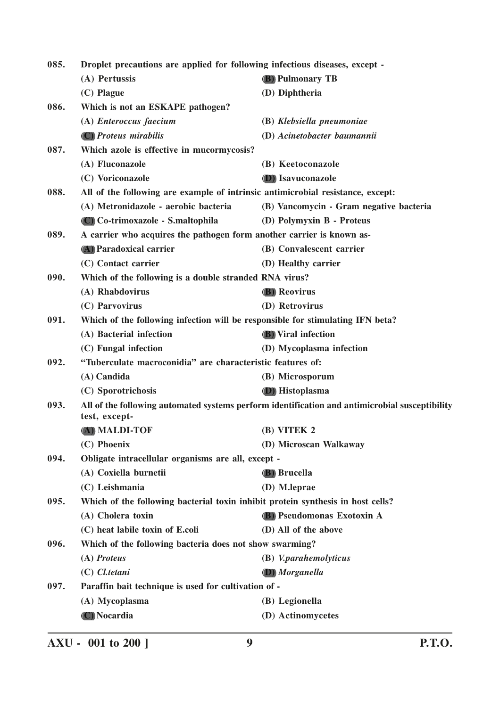**085. Droplet precautions are applied for following infectious diseases, except - (A) Pertussis (B) Pulmonary TB (C) Plague (D) Diphtheria 086. Which is not an ESKAPE pathogen? (A)** *Enteroccus faecium* **(B)** *Klebsiella pneumoniae* **(C)** *Proteus mirabilis* **(D)** *Acinetobacter baumannii* **087. Which azole is effective in mucormycosis? (A) Fluconazole (B) Keetoconazole (C) Voriconazole (D) Isavuconazole 088. All of the following are example of intrinsic antimicrobial resistance, except: (A) Metronidazole - aerobic bacteria (B) Vancomycin - Gram negative bacteria (C) Co-trimoxazole - S.maltophila (D) Polymyxin B - Proteus 089. A carrier who acquires the pathogen form another carrier is known as- (A) Paradoxical carrier (B) Convalescent carrier (C) Contact carrier (D) Healthy carrier 090. Which of the following is a double stranded RNA virus? (A) Rhabdovirus (B) Reovirus (C) Parvovirus (D) Retrovirus 091. Which of the following infection will be responsible for stimulating IFN beta? (A) Bacterial infection (B) Viral infection (C) Fungal infection (D) Mycoplasma infection 092. "Tuberculate macroconidia" are characteristic features of: (A) Candida (B) Microsporum (C) Sporotrichosis (D) Histoplasma 093. All of the following automated systems perform identification and antimicrobial susceptibility test, except- (A) MALDI-TOF (B) VITEK 2 (C) Phoenix (D) Microscan Walkaway 094. Obligate intracellular organisms are all, except - (A) Coxiella burnetii (B) Brucella (C) Leishmania (D) M.leprae 095. Which of the following bacterial toxin inhibit protein synthesis in host cells? (A) Cholera toxin (B) Pseudomonas Exotoxin A (C) heat labile toxin of E.coli (D) All of the above 096. Which of the following bacteria does not show swarming? (A)** *Proteus* **(B)** *V.parahemolyticus* **(C)** *Cl.tetani* **(D)** *Morganella* **097. Paraffin bait technique is used for cultivation of - (A) Mycoplasma (B) Legionella (C) Nocardia (D) Actinomycetes**

**AXU - 001 to 200 ] 9 P.T.O.**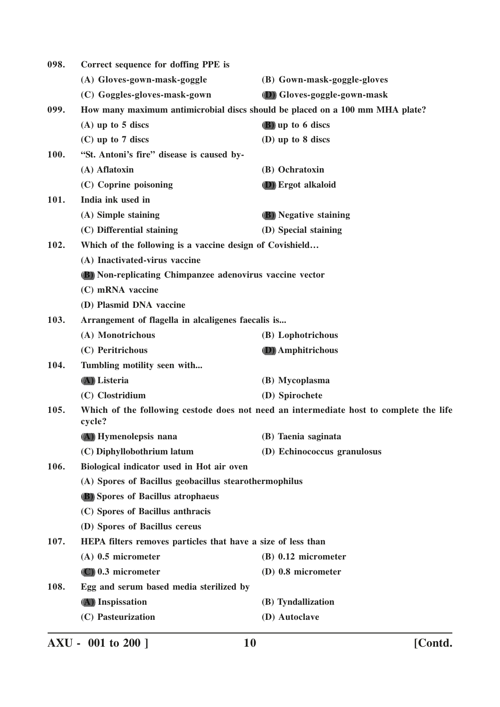| 098. | Correct sequence for doffing PPE is                             |                                                                                        |
|------|-----------------------------------------------------------------|----------------------------------------------------------------------------------------|
|      | (A) Gloves-gown-mask-goggle                                     | (B) Gown-mask-goggle-gloves                                                            |
|      | (C) Goggles-gloves-mask-gown                                    | (D) Gloves-goggle-gown-mask                                                            |
| 099. |                                                                 | How many maximum antimicrobial discs should be placed on a 100 mm MHA plate?           |
|      | $(A)$ up to 5 discs                                             | (B) up to 6 discs                                                                      |
|      | $(C)$ up to 7 discs                                             | (D) up to 8 discs                                                                      |
| 100. | "St. Antoni's fire" disease is caused by-                       |                                                                                        |
|      | (A) Aflatoxin                                                   | (B) Ochratoxin                                                                         |
|      | (C) Coprine poisoning                                           | <b>D</b> ) Ergot alkaloid                                                              |
| 101. | India ink used in                                               |                                                                                        |
|      | (A) Simple staining                                             | <b>(B)</b> Negative staining                                                           |
|      | (C) Differential staining                                       | (D) Special staining                                                                   |
| 102. | Which of the following is a vaccine design of Covishield        |                                                                                        |
|      | (A) Inactivated-virus vaccine                                   |                                                                                        |
|      | <b>(B)</b> Non-replicating Chimpanzee adenovirus vaccine vector |                                                                                        |
|      | (C) mRNA vaccine                                                |                                                                                        |
|      | (D) Plasmid DNA vaccine                                         |                                                                                        |
| 103. | Arrangement of flagella in alcaligenes faecalis is              |                                                                                        |
|      | (A) Monotrichous                                                | (B) Lophotrichous                                                                      |
|      | (C) Peritrichous                                                | (D) Amphitrichous                                                                      |
| 104. | Tumbling motility seen with                                     |                                                                                        |
|      | (A) Listeria                                                    | (B) Mycoplasma                                                                         |
|      | (C) Clostridium                                                 | (D) Spirochete                                                                         |
| 105. | cycle?                                                          | Which of the following cestode does not need an intermediate host to complete the life |
|      | (A) Hymenolepsis nana                                           | (B) Taenia saginata                                                                    |
|      | (C) Diphyllobothrium latum                                      | (D) Echinococcus granulosus                                                            |
| 106. | Biological indicator used in Hot air oven                       |                                                                                        |
|      | (A) Spores of Bacillus geobacillus stearothermophilus           |                                                                                        |
|      | <b>(B)</b> Spores of Bacillus atrophaeus                        |                                                                                        |
|      | (C) Spores of Bacillus anthracis                                |                                                                                        |
|      | (D) Spores of Bacillus cereus                                   |                                                                                        |
| 107. | HEPA filters removes particles that have a size of less than    |                                                                                        |
|      | $(A)$ 0.5 micrometer                                            | $(B)$ 0.12 micrometer                                                                  |
|      | $(C)$ 0.3 micrometer                                            | (D) 0.8 micrometer                                                                     |
| 108. | Egg and serum based media sterilized by                         |                                                                                        |
|      | (A) Inspissation                                                | (B) Tyndallization                                                                     |
|      | (C) Pasteurization                                              | (D) Autoclave                                                                          |
|      |                                                                 |                                                                                        |

**AXU - 001 to 200 ] 10 [Contd.**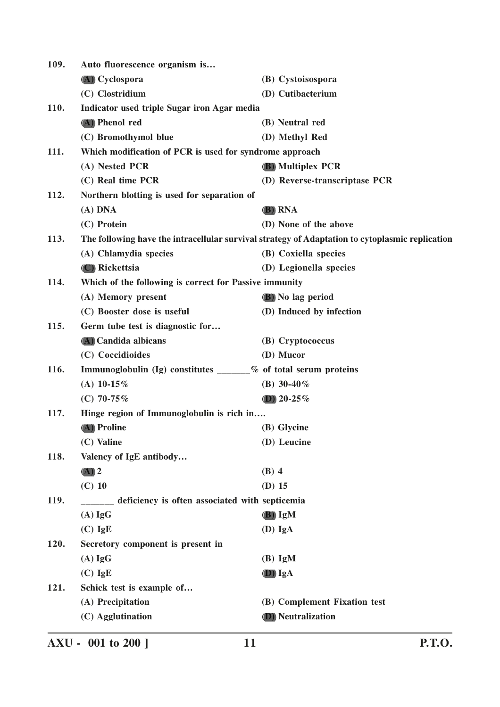| 109.        | Auto fluorescence organism is                                   |                                                                                                 |
|-------------|-----------------------------------------------------------------|-------------------------------------------------------------------------------------------------|
|             | (A) Cyclospora                                                  | (B) Cystoisospora                                                                               |
|             | (C) Clostridium                                                 | (D) Cutibacterium                                                                               |
| <b>110.</b> | Indicator used triple Sugar iron Agar media                     |                                                                                                 |
|             | (A) Phenol red                                                  | (B) Neutral red                                                                                 |
|             | (C) Bromothymol blue                                            | (D) Methyl Red                                                                                  |
| 111.        | Which modification of PCR is used for syndrome approach         |                                                                                                 |
|             | (A) Nested PCR                                                  | <b>(B)</b> Multiplex PCR                                                                        |
|             | (C) Real time PCR                                               | (D) Reverse-transcriptase PCR                                                                   |
| 112.        | Northern blotting is used for separation of                     |                                                                                                 |
|             | $(A)$ DNA                                                       | <b>(B) RNA</b>                                                                                  |
|             | (C) Protein                                                     | (D) None of the above                                                                           |
| 113.        |                                                                 | The following have the intracellular survival strategy of Adaptation to cytoplasmic replication |
|             | (A) Chlamydia species                                           | (B) Coxiella species                                                                            |
|             | (C) Rickettsia                                                  | (D) Legionella species                                                                          |
| 114.        | Which of the following is correct for Passive immunity          |                                                                                                 |
|             | (A) Memory present                                              | <b>(B)</b> No lag period                                                                        |
|             | (C) Booster dose is useful                                      | (D) Induced by infection                                                                        |
| 115.        | Germ tube test is diagnostic for                                |                                                                                                 |
|             | (A) Candida albicans                                            | (B) Cryptococcus                                                                                |
|             | (C) Coccidioides                                                | (D) Mucor                                                                                       |
| 116.        | Immunoglobulin (Ig) constitutes ______% of total serum proteins |                                                                                                 |
|             | (A) $10-15%$                                                    | (B) $30-40\%$                                                                                   |
|             | (C) 70-75%                                                      | (D) $20-25%$                                                                                    |
| 117.        | Hinge region of Immunoglobulin is rich in                       |                                                                                                 |
|             | (A) Proline                                                     | (B) Glycine                                                                                     |
|             | (C) Valine                                                      | (D) Leucine                                                                                     |
| 118.        | Valency of IgE antibody                                         |                                                                                                 |
|             | $(A)$ 2                                                         | $(B)$ 4                                                                                         |
|             | $(C)$ 10                                                        | $(D)$ 15                                                                                        |
| 119.        | ______ deficiency is often associated with septicemia           |                                                                                                 |
|             | $(A)$ IgG                                                       | $(B)$ IgM                                                                                       |
|             | $(C)$ IgE                                                       | $(D)$ IgA                                                                                       |
| 120.        | Secretory component is present in                               |                                                                                                 |
|             | $(A)$ IgG                                                       | $(B)$ IgM                                                                                       |
|             | $(C)$ IgE                                                       | (D) IgA                                                                                         |
| 121.        | Schick test is example of                                       |                                                                                                 |
|             | (A) Precipitation                                               | (B) Complement Fixation test                                                                    |
|             | (C) Agglutination                                               | <b>(D)</b> Neutralization                                                                       |
|             |                                                                 |                                                                                                 |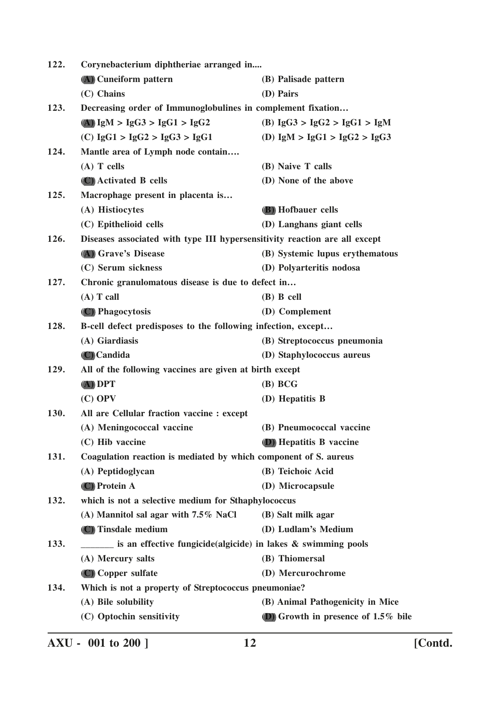| 122. | Corynebacterium diphtheriae arranged in                                    |                                        |  |
|------|----------------------------------------------------------------------------|----------------------------------------|--|
|      | (A) Cuneiform pattern                                                      | (B) Palisade pattern                   |  |
|      | (C) Chains                                                                 | (D) Pairs                              |  |
| 123. | Decreasing order of Immunoglobulines in complement fixation                |                                        |  |
|      | (A) $IgM > IgG3 > IgG1 > IgG2$                                             | (B) $IgG3 > IgG2 > IgG1 > IgM$         |  |
|      | (C) $IgG1 > IgG2 > IgG3 > IgG1$                                            | (D) $IgM > IgG1 > IgG2 > IgG3$         |  |
| 124. | Mantle area of Lymph node contain                                          |                                        |  |
|      | $(A)$ T cells                                                              | (B) Naive T calls                      |  |
|      | (C) Activated B cells                                                      | (D) None of the above                  |  |
| 125. | Macrophage present in placenta is                                          |                                        |  |
|      | (A) Histiocytes                                                            | (B) Hofbauer cells                     |  |
|      | (C) Epithelioid cells                                                      | (D) Langhans giant cells               |  |
| 126. | Diseases associated with type III hypersensitivity reaction are all except |                                        |  |
|      | (A) Grave's Disease                                                        | (B) Systemic lupus erythematous        |  |
|      | (C) Serum sickness                                                         | (D) Polyarteritis nodosa               |  |
| 127. | Chronic granulomatous disease is due to defect in                          |                                        |  |
|      | $(A)$ T call                                                               | $(B)$ B cell                           |  |
|      | (C) Phagocytosis                                                           | (D) Complement                         |  |
| 128. | B-cell defect predisposes to the following infection, except               |                                        |  |
|      | (A) Giardiasis                                                             | (B) Streptococcus pneumonia            |  |
|      | (C) Candida                                                                | (D) Staphylococcus aureus              |  |
| 129. | All of the following vaccines are given at birth except                    |                                        |  |
|      | $(A)$ DPT                                                                  | (B) BCG                                |  |
|      | $(C)$ OPV                                                                  | (D) Hepatitis B                        |  |
| 130. | All are Cellular fraction vaccine : except                                 |                                        |  |
|      | (A) Meningococcal vaccine                                                  | (B) Pneumococcal vaccine               |  |
|      | (C) Hib vaccine                                                            | (D) Hepatitis B vaccine                |  |
| 131. | Coagulation reaction is mediated by which component of S. aureus           |                                        |  |
|      | (A) Peptidoglycan                                                          | (B) Teichoic Acid                      |  |
|      | (C) Protein A                                                              | (D) Microcapsule                       |  |
| 132. | which is not a selective medium for Sthaphylococcus                        |                                        |  |
|      | (A) Mannitol sal agar with $7.5\%$ NaCl                                    | (B) Salt milk agar                     |  |
|      | (C) Tinsdale medium                                                        | (D) Ludlam's Medium                    |  |
| 133. | is an effective fungicide(algicide) in lakes & swimming pools              |                                        |  |
|      | (A) Mercury salts                                                          | (B) Thiomersal                         |  |
|      | (C) Copper sulfate                                                         | (D) Mercurochrome                      |  |
| 134. | Which is not a property of Streptococcus pneumoniae?                       |                                        |  |
|      | (A) Bile solubility                                                        | (B) Animal Pathogenicity in Mice       |  |
|      | (C) Optochin sensitivity                                                   | (D) Growth in presence of $1.5\%$ bile |  |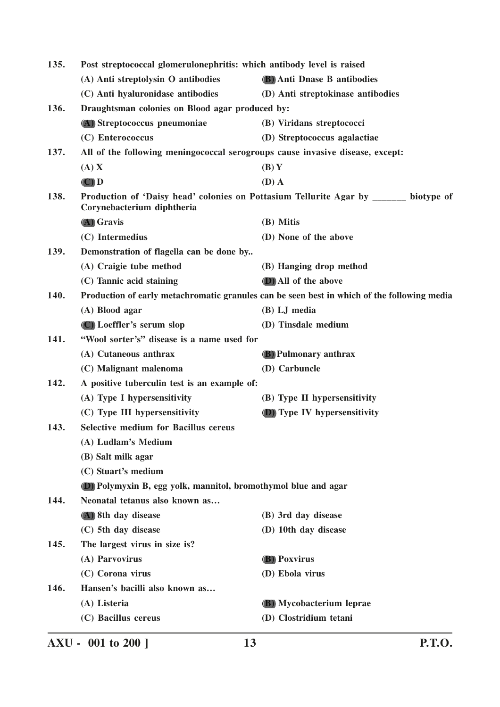| 135. | Post streptococcal glomerulonephritis: which antibody level is raised                                               |                                                                                             |
|------|---------------------------------------------------------------------------------------------------------------------|---------------------------------------------------------------------------------------------|
|      | (A) Anti streptolysin O antibodies                                                                                  | (B) Anti Dnase B antibodies                                                                 |
|      | (C) Anti hyaluronidase antibodies                                                                                   | (D) Anti streptokinase antibodies                                                           |
| 136. | Draughtsman colonies on Blood agar produced by:                                                                     |                                                                                             |
|      | (A) Streptococcus pneumoniae                                                                                        | (B) Viridans streptococci                                                                   |
|      | (C) Enterococcus                                                                                                    | (D) Streptococcus agalactiae                                                                |
| 137. | All of the following meningococcal serogroups cause invasive disease, except:                                       |                                                                                             |
|      | (A) X                                                                                                               | (B)Y                                                                                        |
|      | $(\mathbf{C})$ $\mathbf{D}$                                                                                         | $(D)$ A                                                                                     |
| 138. | Production of 'Daisy head' colonies on Pottasium Tellurite Agar by _______ biotype of<br>Corynebacterium diphtheria |                                                                                             |
|      | (A) Gravis                                                                                                          | (B) Mitis                                                                                   |
|      | (C) Intermedius                                                                                                     | (D) None of the above                                                                       |
| 139. | Demonstration of flagella can be done by                                                                            |                                                                                             |
|      | (A) Craigie tube method                                                                                             | (B) Hanging drop method                                                                     |
|      | (C) Tannic acid staining                                                                                            | (D) All of the above                                                                        |
| 140. |                                                                                                                     | Production of early metachromatic granules can be seen best in which of the following media |
|      | (A) Blood agar                                                                                                      | (B) LJ media                                                                                |
|      | (C) Loeffler's serum slop                                                                                           | (D) Tinsdale medium                                                                         |
| 141. | "Wool sorter's" disease is a name used for                                                                          |                                                                                             |
|      | (A) Cutaneous anthrax                                                                                               | <b>(B)</b> Pulmonary anthrax                                                                |
|      | (C) Malignant malenoma                                                                                              | (D) Carbuncle                                                                               |
| 142. | A positive tuberculin test is an example of:                                                                        |                                                                                             |
|      | (A) Type I hypersensitivity                                                                                         | (B) Type II hypersensitivity                                                                |
|      | (C) Type III hypersensitivity                                                                                       | (D) Type IV hypersensitivity                                                                |
| 143. | <b>Selective medium for Bacillus cereus</b>                                                                         |                                                                                             |
|      | (A) Ludlam's Medium                                                                                                 |                                                                                             |
|      | (B) Salt milk agar                                                                                                  |                                                                                             |
|      | (C) Stuart's medium                                                                                                 |                                                                                             |
|      | (D) Polymyxin B, egg yolk, mannitol, bromothymol blue and agar                                                      |                                                                                             |
| 144. | Neonatal tetanus also known as                                                                                      |                                                                                             |
|      | (A) 8th day disease                                                                                                 | (B) 3rd day disease                                                                         |
|      | (C) 5th day disease                                                                                                 | (D) 10th day disease                                                                        |
| 145. | The largest virus in size is?                                                                                       |                                                                                             |
|      | (A) Parvovirus                                                                                                      | <b>(B)</b> Poxvirus                                                                         |
|      | (C) Corona virus                                                                                                    | (D) Ebola virus                                                                             |
| 146. | Hansen's bacilli also known as                                                                                      |                                                                                             |
|      | (A) Listeria                                                                                                        | (B) Mycobacterium leprae                                                                    |
|      | (C) Bacillus cereus                                                                                                 | (D) Clostridium tetani                                                                      |
|      |                                                                                                                     |                                                                                             |

**AXU - 001 to 200 ] 13 P.T.O.**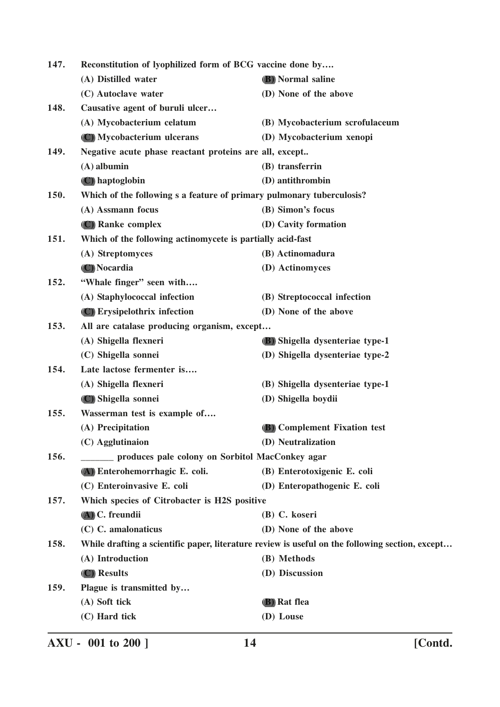| 147. | Reconstitution of lyophilized form of BCG vaccine done by             |                                                                                                 |
|------|-----------------------------------------------------------------------|-------------------------------------------------------------------------------------------------|
|      | (A) Distilled water                                                   | <b>(B)</b> Normal saline                                                                        |
|      | (C) Autoclave water                                                   | (D) None of the above                                                                           |
| 148. | Causative agent of buruli ulcer                                       |                                                                                                 |
|      | (A) Mycobacterium celatum                                             | (B) Mycobacterium scrofulaceum                                                                  |
|      | (C) Mycobacterium ulcerans                                            | (D) Mycobacterium xenopi                                                                        |
| 149. | Negative acute phase reactant proteins are all, except                |                                                                                                 |
|      | $(A)$ albumin                                                         | (B) transferrin                                                                                 |
|      | (C) haptoglobin                                                       | (D) antithrombin                                                                                |
| 150. | Which of the following s a feature of primary pulmonary tuberculosis? |                                                                                                 |
|      | (A) Assmann focus                                                     | (B) Simon's focus                                                                               |
|      | (C) Ranke complex                                                     | (D) Cavity formation                                                                            |
| 151. | Which of the following actinomycete is partially acid-fast            |                                                                                                 |
|      | (A) Streptomyces                                                      | (B) Actinomadura                                                                                |
|      | (C) Nocardia                                                          | (D) Actinomyces                                                                                 |
| 152. | "Whale finger" seen with                                              |                                                                                                 |
|      | (A) Staphylococcal infection                                          | (B) Streptococcal infection                                                                     |
|      | (C) Erysipelothrix infection                                          | (D) None of the above                                                                           |
| 153. | All are catalase producing organism, except                           |                                                                                                 |
|      | (A) Shigella flexneri                                                 | (B) Shigella dysenteriae type-1                                                                 |
|      | (C) Shigella sonnei                                                   | (D) Shigella dysenteriae type-2                                                                 |
| 154. | Late lactose fermenter is                                             |                                                                                                 |
|      | (A) Shigella flexneri                                                 | (B) Shigella dysenteriae type-1                                                                 |
|      | (C) Shigella sonnei                                                   | (D) Shigella boydii                                                                             |
| 155. | Wasserman test is example of                                          |                                                                                                 |
|      | (A) Precipitation                                                     | (B) Complement Fixation test                                                                    |
|      | (C) Agglutinaion                                                      | (D) Neutralization                                                                              |
| 156. | produces pale colony on Sorbitol MacConkey agar                       |                                                                                                 |
|      | (A) Enterohemorrhagic E. coli.                                        | (B) Enterotoxigenic E. coli                                                                     |
|      | (C) Enteroinvasive E. coli                                            | (D) Enteropathogenic E. coli                                                                    |
| 157. | Which species of Citrobacter is H2S positive                          |                                                                                                 |
|      | $(A)$ C. freundii                                                     | (B) C. koseri                                                                                   |
|      | (C) C. amalonaticus                                                   | (D) None of the above                                                                           |
| 158. |                                                                       | While drafting a scientific paper, literature review is useful on the following section, except |
|      | (A) Introduction                                                      | (B) Methods                                                                                     |
|      | (C) Results                                                           | (D) Discussion                                                                                  |
| 159. | Plague is transmitted by                                              |                                                                                                 |
|      | (A) Soft tick                                                         | (B) Rat flea                                                                                    |
|      | (C) Hard tick                                                         | (D) Louse                                                                                       |
|      |                                                                       |                                                                                                 |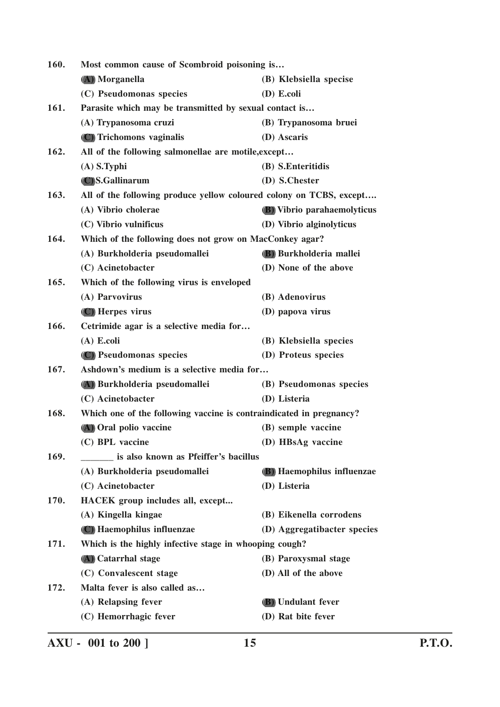| 160. | Most common cause of Scombroid poisoning is                         |                                   |
|------|---------------------------------------------------------------------|-----------------------------------|
|      | (A) Morganella                                                      | (B) Klebsiella specise            |
|      | (C) Pseudomonas species                                             | (D) E.coli                        |
| 161. | Parasite which may be transmitted by sexual contact is              |                                   |
|      | (A) Trypanosoma cruzi                                               | (B) Trypanosoma bruei             |
|      | (C) Trichomons vaginalis                                            | (D) Ascaris                       |
| 162. | All of the following salmonellae are motile, except                 |                                   |
|      | $(A)$ S.Typhi                                                       | (B) S.Enteritidis                 |
|      | (C) S.Gallinarum                                                    | (D) S.Chester                     |
| 163. | All of the following produce yellow coloured colony on TCBS, except |                                   |
|      | (A) Vibrio cholerae                                                 | (B) Vibrio parahaemolyticus       |
|      | (C) Vibrio vulnificus                                               | (D) Vibrio alginolyticus          |
| 164. | Which of the following does not grow on MacConkey agar?             |                                   |
|      | (A) Burkholderia pseudomallei                                       | (B) Burkholderia mallei           |
|      | (C) Acinetobacter                                                   | (D) None of the above             |
| 165. | Which of the following virus is enveloped                           |                                   |
|      | (A) Parvovirus                                                      | (B) Adenovirus                    |
|      | (C) Herpes virus                                                    | (D) papova virus                  |
| 166. | Cetrimide agar is a selective media for                             |                                   |
|      | $(A)$ E.coli                                                        | (B) Klebsiella species            |
|      | (C) Pseudomonas species                                             | (D) Proteus species               |
| 167. | Ashdown's medium is a selective media for                           |                                   |
|      | (A) Burkholderia pseudomallei                                       | (B) Pseudomonas species           |
|      | (C) Acinetobacter                                                   | (D) Listeria                      |
| 168. | Which one of the following vaccine is contraindicated in pregnancy? |                                   |
|      | (A) Oral polio vaccine                                              | (B) semple vaccine                |
|      | (C) BPL vaccine                                                     | (D) HBsAg vaccine                 |
| 169. | is also known as Pfeiffer's bacillus                                |                                   |
|      | (A) Burkholderia pseudomallei                                       | <b>(B)</b> Haemophilus influenzae |
|      | (C) Acinetobacter                                                   | (D) Listeria                      |
| 170. | HACEK group includes all, except                                    |                                   |
|      | (A) Kingella kingae                                                 | (B) Eikenella corrodens           |
|      | (C) Haemophilus influenzae                                          | (D) Aggregatibacter species       |
| 171. | Which is the highly infective stage in whooping cough?              |                                   |
|      | (A) Catarrhal stage                                                 | (B) Paroxysmal stage              |
|      | (C) Convalescent stage                                              | (D) All of the above              |
| 172. | Malta fever is also called as                                       |                                   |
|      | (A) Relapsing fever                                                 | (B) Undulant fever                |
|      | (C) Hemorrhagic fever                                               | (D) Rat bite fever                |

**AXU - 001 to 200 ] 15 P.T.O.**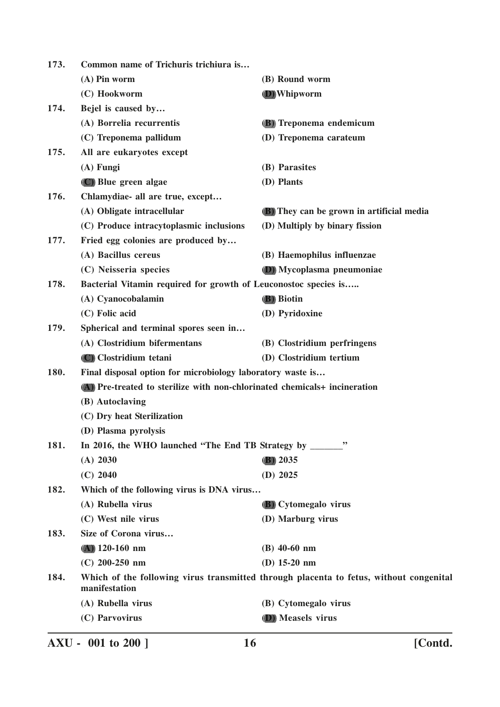| 173. | Common name of Trichuris trichiura is                                     |                                                                                        |
|------|---------------------------------------------------------------------------|----------------------------------------------------------------------------------------|
|      | $(A)$ Pin worm                                                            | (B) Round worm                                                                         |
|      | (C) Hookworm                                                              | <b>D</b> ) Whipworm                                                                    |
| 174. | Bejel is caused by                                                        |                                                                                        |
|      | (A) Borrelia recurrentis                                                  | (B) Treponema endemicum                                                                |
|      | (C) Treponema pallidum                                                    | (D) Treponema carateum                                                                 |
| 175. | All are eukaryotes except                                                 |                                                                                        |
|      | $(A)$ Fungi                                                               | (B) Parasites                                                                          |
|      | (C) Blue green algae                                                      | (D) Plants                                                                             |
| 176. | Chlamydiae- all are true, except                                          |                                                                                        |
|      | (A) Obligate intracellular                                                | (B) They can be grown in artificial media                                              |
|      | (C) Produce intracytoplasmic inclusions                                   | (D) Multiply by binary fission                                                         |
| 177. | Fried egg colonies are produced by                                        |                                                                                        |
|      | (A) Bacillus cereus                                                       | (B) Haemophilus influenzae                                                             |
|      | (C) Neisseria species                                                     | (D) Mycoplasma pneumoniae                                                              |
| 178. | Bacterial Vitamin required for growth of Leuconostoc species is           |                                                                                        |
|      | (A) Cyanocobalamin                                                        | (B) Biotin                                                                             |
|      | (C) Folic acid                                                            | (D) Pyridoxine                                                                         |
| 179. | Spherical and terminal spores seen in                                     |                                                                                        |
|      | (A) Clostridium bifermentans                                              | (B) Clostridium perfringens                                                            |
|      | (C) Clostridium tetani                                                    | (D) Clostridium tertium                                                                |
| 180. | Final disposal option for microbiology laboratory waste is                |                                                                                        |
|      | (A) Pre-treated to sterilize with non-chlorinated chemicals+ incineration |                                                                                        |
|      | (B) Autoclaving                                                           |                                                                                        |
|      | (C) Dry heat Sterilization                                                |                                                                                        |
|      | (D) Plasma pyrolysis                                                      |                                                                                        |
| 181. | In 2016, the WHO launched "The End TB Strategy by ______                  | ,,                                                                                     |
|      | (A) 2030                                                                  | $(B)$ 2035                                                                             |
|      | $(C)$ 2040                                                                | $(D)$ 2025                                                                             |
| 182. | Which of the following virus is DNA virus                                 |                                                                                        |
|      | (A) Rubella virus                                                         | <b>(B)</b> Cytomegalo virus                                                            |
|      | (C) West nile virus                                                       | (D) Marburg virus                                                                      |
| 183. | Size of Corona virus                                                      |                                                                                        |
|      | $(A)$ 120-160 nm                                                          | $(B)$ 40-60 nm                                                                         |
|      | $(C)$ 200-250 nm                                                          | (D) $15-20$ nm                                                                         |
| 184. | manifestation                                                             | Which of the following virus transmitted through placenta to fetus, without congenital |
|      | (A) Rubella virus                                                         | (B) Cytomegalo virus                                                                   |
|      | (C) Parvovirus                                                            | (D) Measels virus                                                                      |
|      |                                                                           |                                                                                        |

**AXU - 001 to 200 ] 16 [Contd.**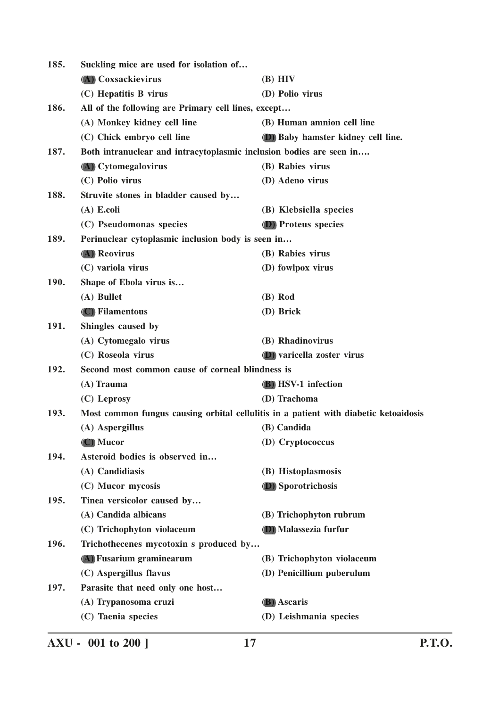| 185. | Suckling mice are used for isolation of                             |                                                                                      |
|------|---------------------------------------------------------------------|--------------------------------------------------------------------------------------|
|      | (A) Coxsackievirus                                                  | $(B)$ HIV                                                                            |
|      | (C) Hepatitis B virus                                               | (D) Polio virus                                                                      |
| 186. | All of the following are Primary cell lines, except                 |                                                                                      |
|      | (A) Monkey kidney cell line                                         | (B) Human amnion cell line                                                           |
|      | (C) Chick embryo cell line                                          | (D) Baby hamster kidney cell line.                                                   |
| 187. | Both intranuclear and intracytoplasmic inclusion bodies are seen in |                                                                                      |
|      | (A) Cytomegalovirus                                                 | (B) Rabies virus                                                                     |
|      | (C) Polio virus                                                     | (D) Adeno virus                                                                      |
| 188. | Struvite stones in bladder caused by                                |                                                                                      |
|      | $(A)$ E.coli                                                        | (B) Klebsiella species                                                               |
|      | (C) Pseudomonas species                                             | (D) Proteus species                                                                  |
| 189. | Perinuclear cytoplasmic inclusion body is seen in                   |                                                                                      |
|      | (A) Reovirus                                                        | (B) Rabies virus                                                                     |
|      | (C) variola virus                                                   | (D) fowlpox virus                                                                    |
| 190. | Shape of Ebola virus is                                             |                                                                                      |
|      | (A) Bullet                                                          | (B) Rod                                                                              |
|      | (C) Filamentous                                                     | (D) Brick                                                                            |
| 191. | Shingles caused by                                                  |                                                                                      |
|      | (A) Cytomegalo virus                                                | (B) Rhadinovirus                                                                     |
|      | (C) Roseola virus                                                   | <b>(D)</b> varicella zoster virus                                                    |
| 192. | Second most common cause of corneal blindness is                    |                                                                                      |
|      | (A) Trauma                                                          | <b>(B)</b> HSV-1 infection                                                           |
|      | (C) Leprosy                                                         | (D) Trachoma                                                                         |
| 193. |                                                                     | Most common fungus causing orbital cellulitis in a patient with diabetic ketoaidosis |
|      | (A) Aspergillus                                                     | (B) Candida                                                                          |
|      | (C) Mucor                                                           | (D) Cryptococcus                                                                     |
| 194. | Asteroid bodies is observed in                                      |                                                                                      |
|      | (A) Candidiasis                                                     | (B) Histoplasmosis                                                                   |
|      | (C) Mucor mycosis                                                   | (D) Sporotrichosis                                                                   |
| 195. | Tinea versicolor caused by                                          |                                                                                      |
|      | (A) Candida albicans                                                | (B) Trichophyton rubrum                                                              |
|      | (C) Trichophyton violaceum                                          | (D) Malassezia furfur                                                                |
| 196. | Trichothecenes mycotoxin s produced by                              |                                                                                      |
|      | (A) Fusarium graminearum                                            | (B) Trichophyton violaceum                                                           |
|      | (C) Aspergillus flavus                                              | (D) Penicillium puberulum                                                            |
| 197. | Parasite that need only one host                                    |                                                                                      |
|      | (A) Trypanosoma cruzi                                               | <b>(B)</b> Ascaris                                                                   |
|      | (C) Taenia species                                                  | (D) Leishmania species                                                               |
|      |                                                                     |                                                                                      |

**AXU - 001 to 200 ] 17 P.T.O.**